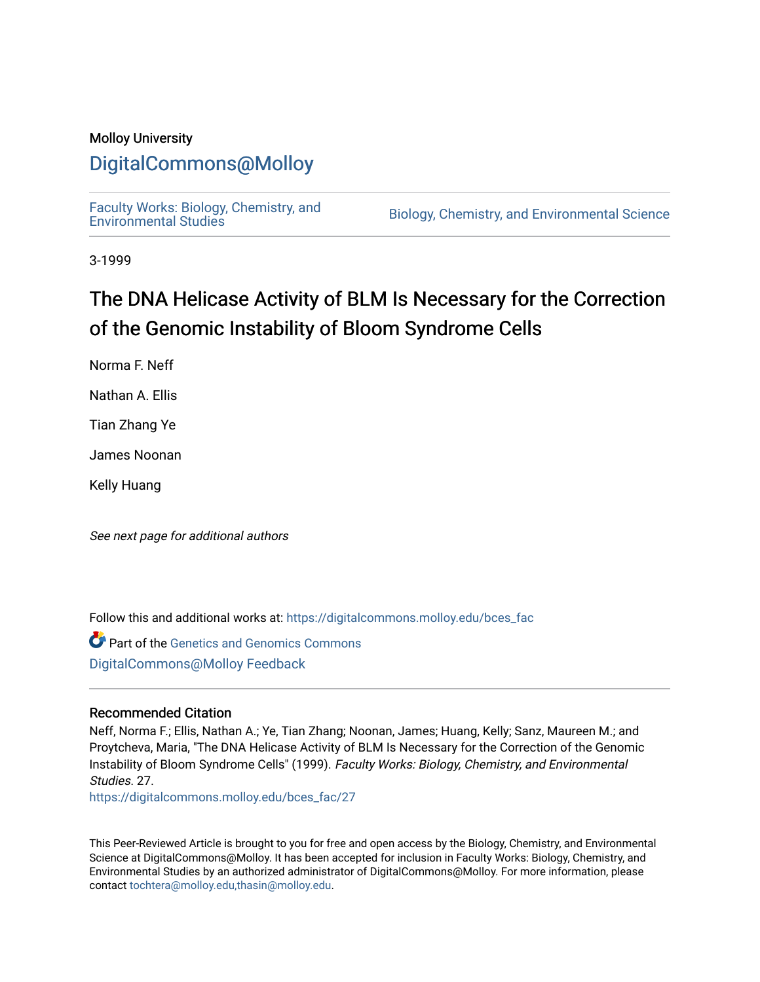# Molloy University

# [DigitalCommons@Molloy](https://digitalcommons.molloy.edu/)

[Faculty Works: Biology, Chemistry, and](https://digitalcommons.molloy.edu/bces_fac) 

Biology, Chemistry, and Environmental Science

3-1999

# The DNA Helicase Activity of BLM Is Necessary for the Correction of the Genomic Instability of Bloom Syndrome Cells

Norma F. Neff

Nathan A. Ellis

Tian Zhang Ye

James Noonan

Kelly Huang

See next page for additional authors

Follow this and additional works at: [https://digitalcommons.molloy.edu/bces\\_fac](https://digitalcommons.molloy.edu/bces_fac?utm_source=digitalcommons.molloy.edu%2Fbces_fac%2F27&utm_medium=PDF&utm_campaign=PDFCoverPages)

**C** Part of the [Genetics and Genomics Commons](https://network.bepress.com/hgg/discipline/27?utm_source=digitalcommons.molloy.edu%2Fbces_fac%2F27&utm_medium=PDF&utm_campaign=PDFCoverPages) [DigitalCommons@Molloy Feedback](https://molloy.libwizard.com/f/dcfeedback)

# Recommended Citation

Neff, Norma F.; Ellis, Nathan A.; Ye, Tian Zhang; Noonan, James; Huang, Kelly; Sanz, Maureen M.; and Proytcheva, Maria, "The DNA Helicase Activity of BLM Is Necessary for the Correction of the Genomic Instability of Bloom Syndrome Cells" (1999). Faculty Works: Biology, Chemistry, and Environmental Studies. 27.

[https://digitalcommons.molloy.edu/bces\\_fac/27](https://digitalcommons.molloy.edu/bces_fac/27?utm_source=digitalcommons.molloy.edu%2Fbces_fac%2F27&utm_medium=PDF&utm_campaign=PDFCoverPages) 

This Peer-Reviewed Article is brought to you for free and open access by the Biology, Chemistry, and Environmental Science at DigitalCommons@Molloy. It has been accepted for inclusion in Faculty Works: Biology, Chemistry, and Environmental Studies by an authorized administrator of DigitalCommons@Molloy. For more information, please contact [tochtera@molloy.edu,thasin@molloy.edu.](mailto:tochtera@molloy.edu,thasin@molloy.edu)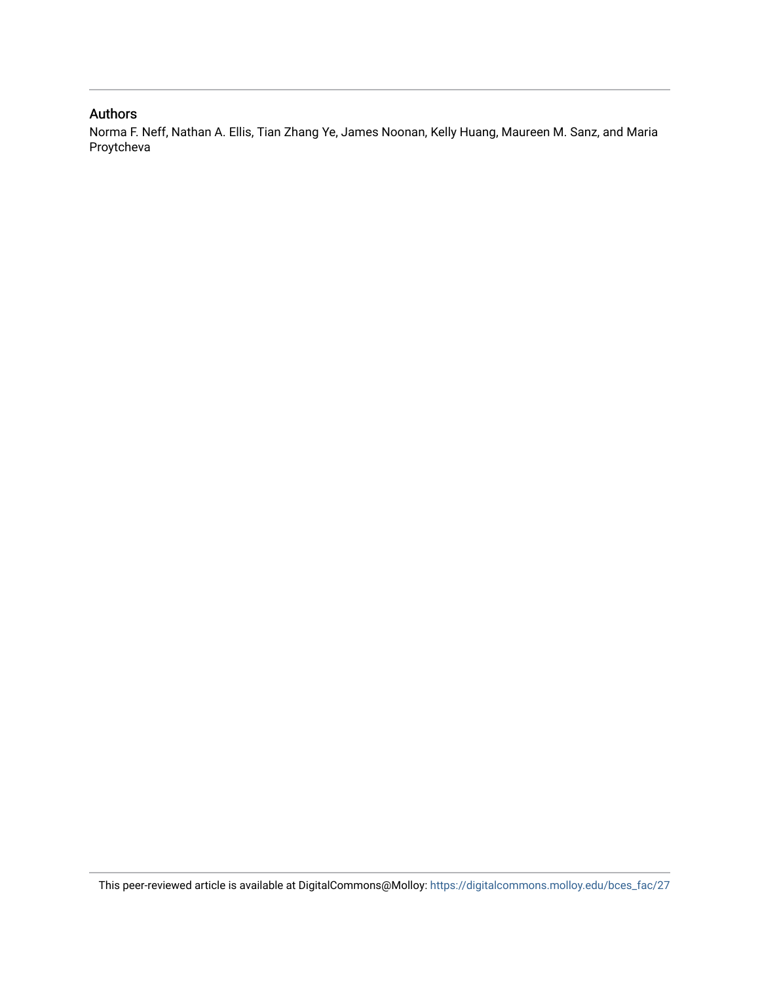# Authors

Norma F. Neff, Nathan A. Ellis, Tian Zhang Ye, James Noonan, Kelly Huang, Maureen M. Sanz, and Maria Proytcheva

This peer-reviewed article is available at DigitalCommons@Molloy: [https://digitalcommons.molloy.edu/bces\\_fac/27](https://digitalcommons.molloy.edu/bces_fac/27)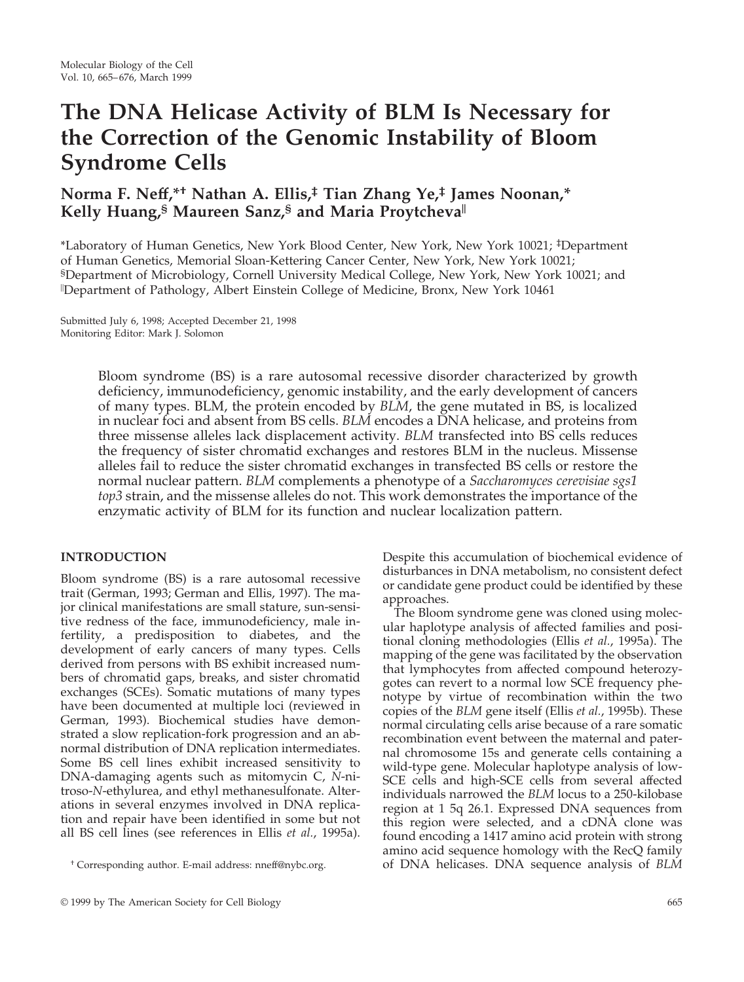# **The DNA Helicase Activity of BLM Is Necessary for the Correction of the Genomic Instability of Bloom Syndrome Cells**

# **Norma F. Neff,\*† Nathan A. Ellis,‡ Tian Zhang Ye,‡ James Noonan,\* Kelly Huang,§ Maureen Sanz,§ and Maria Proytcheva**<sup>|</sup>

\*Laboratory of Human Genetics, New York Blood Center, New York, New York 10021; ‡ Department of Human Genetics, Memorial Sloan-Kettering Cancer Center, New York, New York 10021; § Department of Microbiology, Cornell University Medical College, New York, New York 10021; and \ Department of Pathology, Albert Einstein College of Medicine, Bronx, New York 10461

Submitted July 6, 1998; Accepted December 21, 1998 Monitoring Editor: Mark J. Solomon

> Bloom syndrome (BS) is a rare autosomal recessive disorder characterized by growth deficiency, immunodeficiency, genomic instability, and the early development of cancers of many types. BLM, the protein encoded by *BLM*, the gene mutated in BS, is localized in nuclear foci and absent from BS cells. *BLM* encodes a DNA helicase, and proteins from three missense alleles lack displacement activity. *BLM* transfected into BS cells reduces the frequency of sister chromatid exchanges and restores BLM in the nucleus. Missense alleles fail to reduce the sister chromatid exchanges in transfected BS cells or restore the normal nuclear pattern. *BLM* complements a phenotype of a *Saccharomyces cerevisiae sgs1 top3* strain, and the missense alleles do not. This work demonstrates the importance of the enzymatic activity of BLM for its function and nuclear localization pattern.

## **INTRODUCTION**

Bloom syndrome (BS) is a rare autosomal recessive trait (German, 1993; German and Ellis, 1997). The major clinical manifestations are small stature, sun-sensitive redness of the face, immunodeficiency, male infertility, a predisposition to diabetes, and the development of early cancers of many types. Cells derived from persons with BS exhibit increased numbers of chromatid gaps, breaks, and sister chromatid exchanges (SCEs). Somatic mutations of many types have been documented at multiple loci (reviewed in German, 1993). Biochemical studies have demonstrated a slow replication-fork progression and an abnormal distribution of DNA replication intermediates. Some BS cell lines exhibit increased sensitivity to DNA-damaging agents such as mitomycin C, *N*-nitroso-*N*-ethylurea, and ethyl methanesulfonate. Alterations in several enzymes involved in DNA replication and repair have been identified in some but not all BS cell lines (see references in Ellis *et al.*, 1995a). Despite this accumulation of biochemical evidence of disturbances in DNA metabolism, no consistent defect or candidate gene product could be identified by these approaches.

The Bloom syndrome gene was cloned using molecular haplotype analysis of affected families and positional cloning methodologies (Ellis *et al.*, 1995a). The mapping of the gene was facilitated by the observation that lymphocytes from affected compound heterozygotes can revert to a normal low SCE frequency phenotype by virtue of recombination within the two copies of the *BLM* gene itself (Ellis *et al.*, 1995b). These normal circulating cells arise because of a rare somatic recombination event between the maternal and paternal chromosome 15s and generate cells containing a wild-type gene. Molecular haplotype analysis of low-SCE cells and high-SCE cells from several affected individuals narrowed the *BLM* locus to a 250-kilobase region at 1 5q 26.1. Expressed DNA sequences from this region were selected, and a cDNA clone was found encoding a 1417 amino acid protein with strong amino acid sequence homology with the RecQ family † Corresponding author. E-mail address: nneff@nybc.org. of DNA helicases. DNA sequence analysis of *BLM*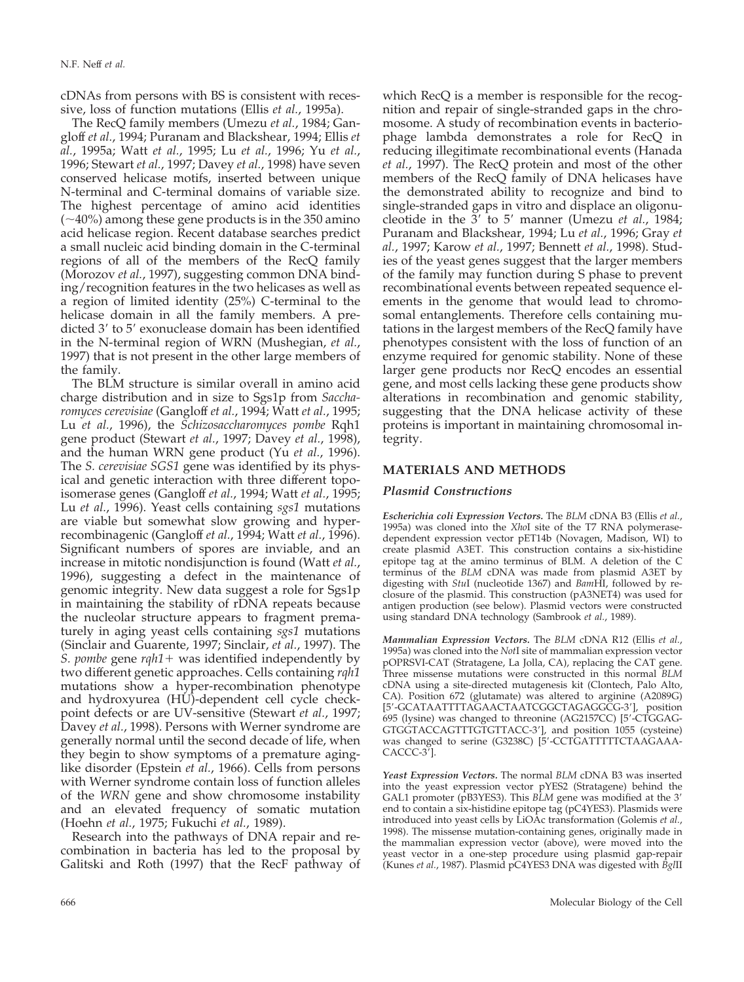cDNAs from persons with BS is consistent with recessive, loss of function mutations (Ellis *et al.*, 1995a).

The RecQ family members (Umezu *et al.*, 1984; Gangloff *et al.*, 1994; Puranam and Blackshear, 1994; Ellis *et al.*, 1995a; Watt *et al.*, 1995; Lu *et al.*, 1996; Yu *et al.*, 1996; Stewart *et al.*, 1997; Davey *et al.*, 1998) have seven conserved helicase motifs, inserted between unique N-terminal and C-terminal domains of variable size. The highest percentage of amino acid identities  $(-40\%)$  among these gene products is in the 350 amino acid helicase region. Recent database searches predict a small nucleic acid binding domain in the C-terminal regions of all of the members of the RecQ family (Morozov *et al.*, 1997), suggesting common DNA binding/recognition features in the two helicases as well as a region of limited identity (25%) C-terminal to the helicase domain in all the family members. A predicted 3' to 5' exonuclease domain has been identified in the N-terminal region of WRN (Mushegian, *et al.*, 1997) that is not present in the other large members of the family.

The BLM structure is similar overall in amino acid charge distribution and in size to Sgs1p from *Saccharomyces cerevisiae* (Gangloff *et al.*, 1994; Watt *et al.*, 1995; Lu *et al.*, 1996), the *Schizosaccharomyces pombe* Rqh1 gene product (Stewart *et al.*, 1997; Davey *et al.*, 1998), and the human WRN gene product (Yu *et al.*, 1996). The *S. cerevisiae SGS1* gene was identified by its physical and genetic interaction with three different topoisomerase genes (Gangloff *et al.*, 1994; Watt *et al.*, 1995; Lu *et al.*, 1996). Yeast cells containing *sgs1* mutations are viable but somewhat slow growing and hyperrecombinagenic (Gangloff *et al.*, 1994; Watt *et al.*, 1996). Significant numbers of spores are inviable, and an increase in mitotic nondisjunction is found (Watt *et al.*, 1996), suggesting a defect in the maintenance of genomic integrity. New data suggest a role for Sgs1p in maintaining the stability of rDNA repeats because the nucleolar structure appears to fragment prematurely in aging yeast cells containing *sgs1* mutations (Sinclair and Guarente, 1997; Sinclair, *et al.*, 1997). The *S. pombe* gene *rqh1* + was identified independently by two different genetic approaches. Cells containing *rqh1* mutations show a hyper-recombination phenotype and hydroxyurea (HÚ)-dependent cell cycle checkpoint defects or are UV-sensitive (Stewart *et al.*, 1997; Davey *et al.*, 1998). Persons with Werner syndrome are generally normal until the second decade of life, when they begin to show symptoms of a premature aginglike disorder (Epstein *et al.*, 1966). Cells from persons with Werner syndrome contain loss of function alleles of the *WRN* gene and show chromosome instability and an elevated frequency of somatic mutation (Hoehn *et al.*, 1975; Fukuchi *et al.*, 1989).

Research into the pathways of DNA repair and recombination in bacteria has led to the proposal by Galitski and Roth (1997) that the RecF pathway of which RecQ is a member is responsible for the recognition and repair of single-stranded gaps in the chromosome. A study of recombination events in bacteriophage lambda demonstrates a role for RecQ in reducing illegitimate recombinational events (Hanada *et al.*, 1997). The RecQ protein and most of the other members of the RecQ family of DNA helicases have the demonstrated ability to recognize and bind to single-stranded gaps in vitro and displace an oligonucleotide in the  $3'$  to  $5'$  manner (Umezu *et al.*, 1984; Puranam and Blackshear, 1994; Lu *et al.*, 1996; Gray *et al.*, 1997; Karow *et al.*, 1997; Bennett *et al.*, 1998). Studies of the yeast genes suggest that the larger members of the family may function during S phase to prevent recombinational events between repeated sequence elements in the genome that would lead to chromosomal entanglements. Therefore cells containing mutations in the largest members of the RecQ family have phenotypes consistent with the loss of function of an enzyme required for genomic stability. None of these larger gene products nor RecQ encodes an essential gene, and most cells lacking these gene products show alterations in recombination and genomic stability, suggesting that the DNA helicase activity of these proteins is important in maintaining chromosomal integrity.

## **MATERIALS AND METHODS**

#### *Plasmid Constructions*

*Escherichia coli Expression Vectors.* The *BLM* cDNA B3 (Ellis *et al.*, 1995a) was cloned into the *Xho*I site of the T7 RNA polymerasedependent expression vector pET14b (Novagen, Madison, WI) to create plasmid A3ET. This construction contains a six-histidine epitope tag at the amino terminus of BLM. A deletion of the C terminus of the *BLM* cDNA was made from plasmid A3ET by digesting with *Stu*I (nucleotide 1367) and *Bam*HI, followed by reclosure of the plasmid. This construction (pA3NET4) was used for antigen production (see below). Plasmid vectors were constructed using standard DNA technology (Sambrook *et al.*, 1989).

*Mammalian Expression Vectors.* The *BLM* cDNA R12 (Ellis *et al.*, 1995a) was cloned into the *Not*I site of mammalian expression vector pOPRSVI-CAT (Stratagene, La Jolla, CA), replacing the CAT gene. Three missense mutations were constructed in this normal *BLM* cDNA using a site-directed mutagenesis kit (Clontech, Palo Alto, CA). Position 672 (glutamate) was altered to arginine (A2089G) [5'-GCATAATTTTAGAACTAATCGGCTAGAGGCG-3'], position 695 (lysine) was changed to threonine (AG2157CC) [5'-CTGGAG-GTGGTACCAGTTTGTGTTACC-3'], and position 1055 (cysteine) was changed to serine (G3238C) [5'-CCTGATTTTTCTAAGAAA- $CACCC-3$ <sup>7</sup>].

*Yeast Expression Vectors.* The normal *BLM* cDNA B3 was inserted into the yeast expression vector pYES2 (Stratagene) behind the GAL1 promoter (pB3YES3). This *BLM* gene was modified at the 3' end to contain a six-histidine epitope tag (pC4YES3). Plasmids were introduced into yeast cells by LiOAc transformation (Golemis *et al.*, 1998). The missense mutation-containing genes, originally made in the mammalian expression vector (above), were moved into the yeast vector in a one-step procedure using plasmid gap-repair (Kunes *et al.*, 1987). Plasmid pC4YES3 DNA was digested with *Bgl*II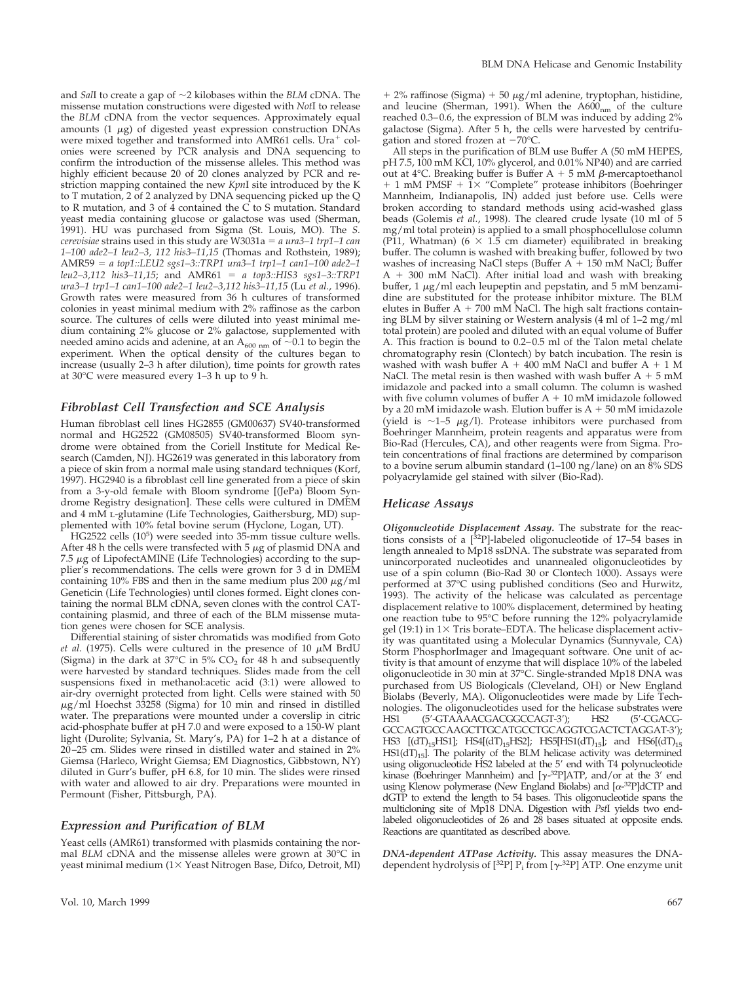and *Sall* to create a gap of  $\sim$ 2 kilobases within the *BLM* cDNA. The missense mutation constructions were digested with *Not*I to release the *BLM* cDNA from the vector sequences. Approximately equal amounts  $(1 \mu g)$  of digested yeast expression construction DNAs were mixed together and transformed into AMR61 cells. Ura $^+$  colonies were screened by PCR analysis and DNA sequencing to confirm the introduction of the missense alleles. This method was highly efficient because 20 of 20 clones analyzed by PCR and restriction mapping contained the new *Kpn*I site introduced by the K to T mutation, 2 of 2 analyzed by DNA sequencing picked up the Q to R mutation, and 3 of 4 contained the C to S mutation. Standard yeast media containing glucose or galactose was used (Sherman, 1991). HU was purchased from Sigma (St. Louis, MO). The *S. cerevisiae* strains used in this study are W3031a = *a ura3–1 trp1–1 can 1–100 ade2–1 leu2–3, 112 his3–11,15* (Thomas and Rothstein, 1989); AMR59 5 *a top1::LEU2 sgs1–3::TRP1 ura3–1 trp1–1 can1–100 ade2–1 leu2–3,112 his3–11,15*; and AMR61 = *a top3::HIS3 sgs1–3::TRP1 ura3–1 trp1–1 can1–100 ade2–1 leu2–3,112 his3–11,15* (Lu *et al.*, 1996). Growth rates were measured from 36 h cultures of transformed colonies in yeast minimal medium with 2% raffinose as the carbon source. The cultures of cells were diluted into yeast minimal medium containing 2% glucose or 2% galactose, supplemented with needed amino acids and adenine, at an  $A_{600 \text{ nm}}$  of ~0.1 to begin the experiment. When the optical density of the cultures began to increase (usually 2–3 h after dilution), time points for growth rates at 30°C were measured every 1–3 h up to 9 h.

#### *Fibroblast Cell Transfection and SCE Analysis*

Human fibroblast cell lines HG2855 (GM00637) SV40-transformed normal and HG2522 (GM08505) SV40-transformed Bloom syndrome were obtained from the Coriell Institute for Medical Research (Camden, NJ). HG2619 was generated in this laboratory from a piece of skin from a normal male using standard techniques (Korf, 1997). HG2940 is a fibroblast cell line generated from a piece of skin from a 3-y-old female with Bloom syndrome [(JePa) Bloom Syndrome Registry designation]. These cells were cultured in DMEM and 4 mM L-glutamine (Life Technologies, Gaithersburg, MD) supplemented with 10% fetal bovine serum (Hyclone, Logan, UT).

HG2522 cells (10<sup>5</sup>) were seeded into 35-mm tissue culture wells. After 48 h the cells were transfected with  $5 \mu$ g of plasmid DNA and 7.5  $\mu$ g of LipofectAMINE (Life Technologies) according to the supplier's recommendations. The cells were grown for 3 d in DMEM containing 10% FBS and then in the same medium plus 200  $\mu$ g/ml Geneticin (Life Technologies) until clones formed. Eight clones containing the normal BLM cDNA, seven clones with the control CATcontaining plasmid, and three of each of the BLM missense mutation genes were chosen for SCE analysis.

Differential staining of sister chromatids was modified from Goto *et al.* (1975). Cells were cultured in the presence of 10  $\mu$ M BrdU (Sigma) in the dark at 37 $^{\circ}$ C in 5% CO<sub>2</sub> for 48 h and subsequently were harvested by standard techniques. Slides made from the cell suspensions fixed in methanol:acetic acid (3:1) were allowed to air-dry overnight protected from light. Cells were stained with 50  $\mu$ g/ml Hoechst 33258 (Sigma) for 10 min and rinsed in distilled water. The preparations were mounted under a coverslip in citric acid-phosphate buffer at pH 7.0 and were exposed to a 150-W plant light (Durolite; Sylvania, St. Mary's, PA) for 1–2 h at a distance of 20–25 cm. Slides were rinsed in distilled water and stained in 2% Giemsa (Harleco, Wright Giemsa; EM Diagnostics, Gibbstown, NY) diluted in Gurr's buffer, pH 6.8, for 10 min. The slides were rinsed with water and allowed to air dry. Preparations were mounted in Permount (Fisher, Pittsburgh, PA).

#### *Expression and Purification of BLM*

Yeast cells (AMR61) transformed with plasmids containing the normal *BLM* cDNA and the missense alleles were grown at 30°C in yeast minimal medium (1× Yeast Nitrogen Base, Difco, Detroit, MI)  $1 + 2\%$  raffinose (Sigma)  $+ 50 \mu g/ml$  adenine, tryptophan, histidine, and leucine (Sherman, 1991). When the  $A600<sub>nm</sub>$  of the culture reached 0.3–0.6, the expression of BLM was induced by adding 2% galactose (Sigma). After 5 h, the cells were harvested by centrifugation and stored frozen at  $-70^{\circ}$ C.

All steps in the purification of BLM use Buffer A (50 mM HEPES, pH 7.5, 100 mM KCl, 10% glycerol, and 0.01% NP40) and are carried out at  $4^{\circ}$ C. Breaking buffer is Buffer A + 5 mM  $\beta$ -mercaptoethanol  $+$  1 mM PMSF  $+$  1 $\times$  "Complete" protease inhibitors (Boehringer Mannheim, Indianapolis, IN) added just before use. Cells were broken according to standard methods using acid-washed glass beads (Golemis *et al.*, 1998). The cleared crude lysate (10 ml of 5 mg/ml total protein) is applied to a small phosphocellulose column (P11, Whatman) (6  $\times$  1.5 cm diameter) equilibrated in breaking buffer. The column is washed with breaking buffer, followed by two washes of increasing NaCl steps (Buffer  $A + 150$  mM NaCl; Buffer  $A + 300$  mM NaCl). After initial load and wash with breaking buffer,  $1 \mu g/ml$  each leupeptin and pepstatin, and  $5 \text{ mM}$  benzamidine are substituted for the protease inhibitor mixture. The BLM elutes in Buffer  $A + 700$  mM NaCl. The high salt fractions containing BLM by silver staining or Western analysis (4 ml of 1–2 mg/ml total protein) are pooled and diluted with an equal volume of Buffer A. This fraction is bound to 0.2–0.5 ml of the Talon metal chelate chromatography resin (Clontech) by batch incubation. The resin is washed with wash buffer  $A + 400$  mM NaCl and buffer  $A + 1$  M NaCl. The metal resin is then washed with wash buffer  $A + 5$  mM imidazole and packed into a small column. The column is washed with five column volumes of buffer  $A + 10$  mM imidazole followed by a 20 mM imidazole wash. Elution buffer is  $A + 50$  mM imidazole (yield is  $\sim$ 1–5  $\mu$ g/l). Protease inhibitors were purchased from Boehringer Mannheim, protein reagents and apparatus were from Bio-Rad (Hercules, CA), and other reagents were from Sigma. Protein concentrations of final fractions are determined by comparison to a bovine serum albumin standard (1–100 ng/lane) on an 8% SDS polyacrylamide gel stained with silver (Bio-Rad).

#### *Helicase Assays*

*Oligonucleotide Displacement Assay.* The substrate for the reactions consists of a [32P]-labeled oligonucleotide of 17–54 bases in length annealed to Mp18 ssDNA. The substrate was separated from unincorporated nucleotides and unannealed oligonucleotides by use of a spin column (Bio-Rad 30 or Clontech 1000). Assays were performed at 37°C using published conditions (Seo and Hurwitz, 1993). The activity of the helicase was calculated as percentage displacement relative to 100% displacement, determined by heating one reaction tube to 95°C before running the 12% polyacrylamide gel (19:1) in  $1\times$  Tris borate–EDTA. The helicase displacement activity was quantitated using a Molecular Dynamics (Sunnyvale, CA) Storm PhosphorImager and Imagequant software. One unit of activity is that amount of enzyme that will displace 10% of the labeled oligonucleotide in 30 min at 37°C. Single-stranded Mp18 DNA was purchased from US Biologicals (Cleveland, OH) or New England Biolabs (Beverly, MA). Oligonucleotides were made by Life Technologies. The oligonucleotides used for the helicase substrates were<br>HS1 (5'-GTAAAACGACGGCCAGT-3'); HS2 (5'-CGACG-(5'-GTAAAACGACGGCCAGT-3'); GCCAGTGCCAAGCTTGCATGCCTGCAGGTCGACTCTAGGAT-3'); HS3  $[(dT)_{15}HS1]$ ; HS4 $[(dT)_{15}HS2]$ ; HS5 $[HS1(dT)_{15}]$ ; and HS6 $[(dT)_{15}$  $HS1(dT)<sub>15</sub>$ ]. The polarity of the BLM helicase activity was determined using oligonucleotide HS2 labeled at the 5' end with T4 polynucleotide kinase (Boehringer Mannheim) and  $[\gamma^{-32}P]ATP$ , and/or at the 3' end using Klenow polymerase (New England Biolabs) and [ $\alpha$ -<sup>32</sup>P]dCTP and dGTP to extend the length to 54 bases. This oligonucleotide spans the multicloning site of Mp18 DNA. Digestion with *Pst*I yields two endlabeled oligonucleotides of 26 and 28 bases situated at opposite ends. Reactions are quantitated as described above.

*DNA-dependent ATPase Activity.* This assay measures the DNAdependent hydrolysis of  $[^{32}P]$  P<sub>i</sub> from  $[\gamma^{32}P]$  ATP. One enzyme unit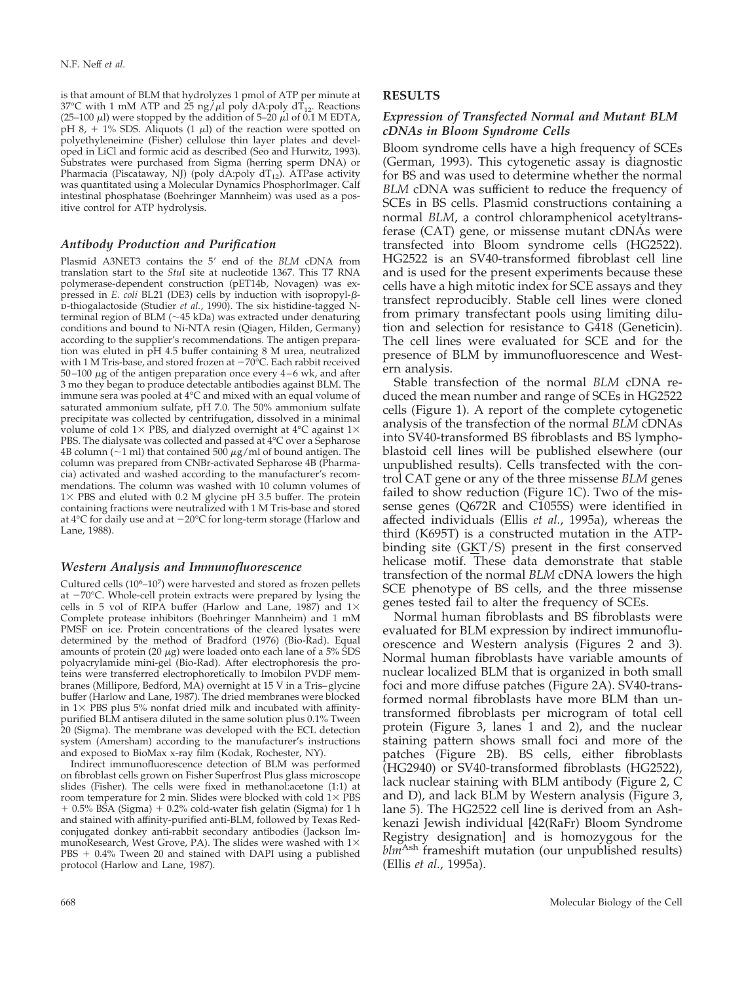is that amount of BLM that hydrolyzes 1 pmol of ATP per minute at 37°C with 1 mM ATP and 25 ng/ $\mu$ l poly dA:poly dT<sub>12</sub>. Reactions (25–100  $\mu$ l) were stopped by the addition of 5–20  $\mu$ l of 0.1 M EDTA, pH 8,  $+$  1% SDS. Aliquots (1  $\mu$ l) of the reaction were spotted on polyethyleneimine (Fisher) cellulose thin layer plates and developed in LiCl and formic acid as described (Seo and Hurwitz, 1993). Substrates were purchased from Sigma (herring sperm DNA) or Pharmacia (Piscataway, NJ) (poly dA:poly dT<sub>12</sub>). ATPase activity was quantitated using a Molecular Dynamics PhosphorImager. Calf intestinal phosphatase (Boehringer Mannheim) was used as a positive control for ATP hydrolysis.

#### *Antibody Production and Purification*

Plasmid A3NET3 contains the 5' end of the *BLM* cDNA from translation start to the *Stu*I site at nucleotide 1367. This T7 RNA polymerase-dependent construction (pET14b, Novagen) was expressed in *E. coli* BL21 (DE3) cells by induction with isopropyl- $\beta$ d-thiogalactoside (Studier *et al.*, 1990). The six histidine-tagged Nterminal region of BLM ( $\sim$ 45 kDa) was extracted under denaturing conditions and bound to Ni-NTA resin (Qiagen, Hilden, Germany) according to the supplier's recommendations. The antigen preparation was eluted in pH 4.5 buffer containing 8 M urea, neutralized with 1 M Tris-base, and stored frozen at  $-70^{\circ}$ C. Each rabbit received  $50-100 \mu$ g of the antigen preparation once every 4–6 wk, and after 3 mo they began to produce detectable antibodies against BLM. The immune sera was pooled at 4°C and mixed with an equal volume of saturated ammonium sulfate, pH 7.0. The 50% ammonium sulfate precipitate was collected by centrifugation, dissolved in a minimal volume of cold 1 $\times$  PBS, and dialyzed overnight at 4°C against 1 $\times$ PBS. The dialysate was collected and passed at 4°C over a Sepharose 4B column ( $\sim$ 1 ml) that contained 500  $\mu$ g/ml of bound antigen. The column was prepared from CNBr-activated Sepharose 4B (Pharmacia) activated and washed according to the manufacturer's recommendations. The column was washed with 10 column volumes of  $1\times$  PBS and eluted with 0.2 M glycine pH 3.5 buffer. The protein containing fractions were neutralized with 1 M Tris-base and stored at  $4^{\circ}$ C for daily use and at  $-20^{\circ}$ C for long-term storage (Harlow and Lane, 1988).

#### *Western Analysis and Immunofluorescence*

Cultured cells (10<sup>6</sup>-10<sup>7</sup>) were harvested and stored as frozen pellets at  $-70^{\circ}$ C. Whole-cell protein extracts were prepared by lysing the cells in 5 vol of RIPA buffer (Harlow and Lane, 1987) and  $1\times$ Complete protease inhibitors (Boehringer Mannheim) and 1 mM PMSF on ice. Protein concentrations of the cleared lysates were determined by the method of Bradford (1976) (Bio-Rad). Equal amounts of protein (20  $\mu$ g) were loaded onto each lane of a 5% SDS polyacrylamide mini-gel (Bio-Rad). After electrophoresis the proteins were transferred electrophoretically to Imobilon PVDF membranes (Millipore, Bedford, MA) overnight at 15 V in a Tris–glycine buffer (Harlow and Lane, 1987). The dried membranes were blocked in  $1\times$  PBS plus 5% nonfat dried milk and incubated with affinitypurified BLM antisera diluted in the same solution plus 0.1% Tween 20 (Sigma). The membrane was developed with the ECL detection system (Amersham) according to the manufacturer's instructions and exposed to BioMax x-ray film (Kodak, Rochester, NY).

Indirect immunofluorescence detection of BLM was performed on fibroblast cells grown on Fisher Superfrost Plus glass microscope slides (Fisher). The cells were fixed in methanol:acetone (1:1) at room temperature for 2 min. Slides were blocked with cold  $1\times$  PBS  $+$  0.5% BSA (Sigma)  $+$  0.2% cold-water fish gelatin (Sigma) for 1 h and stained with affinity-purified anti-BLM, followed by Texas Redconjugated donkey anti-rabbit secondary antibodies (Jackson ImmunoResearch, West Grove, PA). The slides were washed with  $1\times$  $PBS + 0.4\%$  Tween 20 and stained with DAPI using a published protocol (Harlow and Lane, 1987).

#### **RESULTS**

### *Expression of Transfected Normal and Mutant BLM cDNAs in Bloom Syndrome Cells*

Bloom syndrome cells have a high frequency of SCEs (German, 1993). This cytogenetic assay is diagnostic for BS and was used to determine whether the normal *BLM* cDNA was sufficient to reduce the frequency of SCEs in BS cells. Plasmid constructions containing a normal *BLM*, a control chloramphenicol acetyltransferase (CAT) gene, or missense mutant cDNAs were transfected into Bloom syndrome cells (HG2522). HG2522 is an SV40-transformed fibroblast cell line and is used for the present experiments because these cells have a high mitotic index for SCE assays and they transfect reproducibly. Stable cell lines were cloned from primary transfectant pools using limiting dilution and selection for resistance to G418 (Geneticin). The cell lines were evaluated for SCE and for the presence of BLM by immunofluorescence and Western analysis.

Stable transfection of the normal *BLM* cDNA reduced the mean number and range of SCEs in HG2522 cells (Figure 1). A report of the complete cytogenetic analysis of the transfection of the normal *BLM* cDNAs into SV40-transformed BS fibroblasts and BS lymphoblastoid cell lines will be published elsewhere (our unpublished results). Cells transfected with the control CAT gene or any of the three missense *BLM* genes failed to show reduction (Figure 1C). Two of the missense genes (Q672R and C1055S) were identified in affected individuals (Ellis *et al.*, 1995a), whereas the third (K695T) is a constructed mutation in the ATPbinding site  $(GKT/S)$  present in the first conserved helicase motif. These data demonstrate that stable transfection of the normal *BLM* cDNA lowers the high SCE phenotype of BS cells, and the three missense genes tested fail to alter the frequency of SCEs.

Normal human fibroblasts and BS fibroblasts were evaluated for BLM expression by indirect immunofluorescence and Western analysis (Figures 2 and 3). Normal human fibroblasts have variable amounts of nuclear localized BLM that is organized in both small foci and more diffuse patches (Figure 2A). SV40-transformed normal fibroblasts have more BLM than untransformed fibroblasts per microgram of total cell protein (Figure 3, lanes 1 and 2), and the nuclear staining pattern shows small foci and more of the patches (Figure 2B). BS cells, either fibroblasts (HG2940) or SV40-transformed fibroblasts (HG2522), lack nuclear staining with BLM antibody (Figure 2, C and D), and lack BLM by Western analysis (Figure 3, lane 5). The HG2522 cell line is derived from an Ashkenazi Jewish individual [42(RaFr) Bloom Syndrome Registry designation] and is homozygous for the *blm*Ash frameshift mutation (our unpublished results) (Ellis *et al.*, 1995a).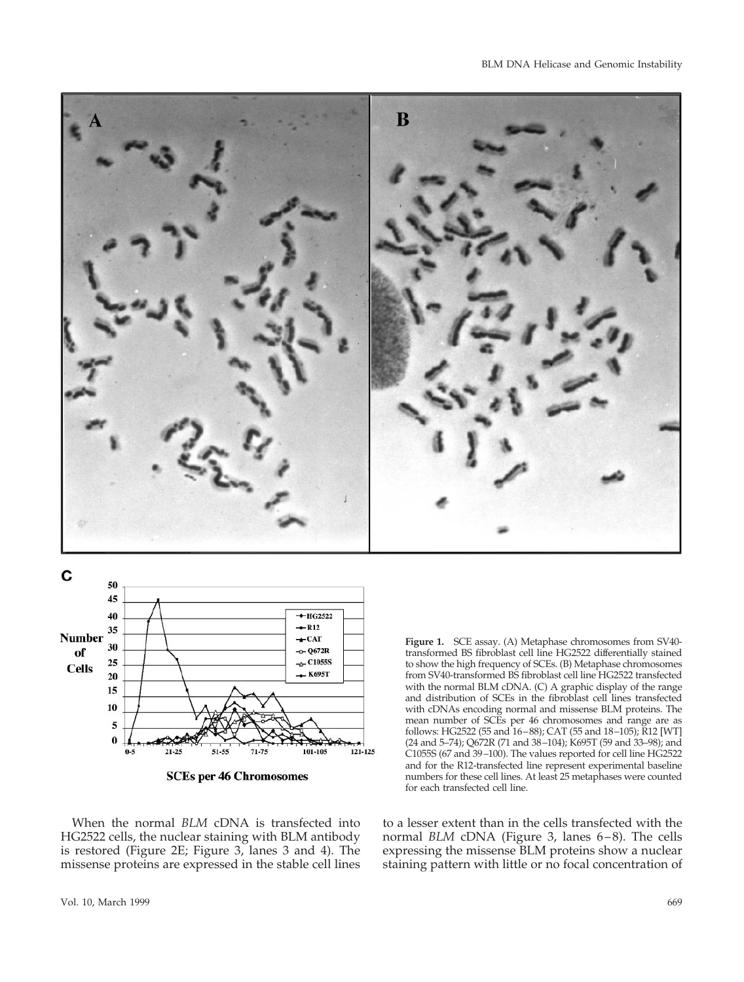



**SCEs per 46 Chromosomes** 

When the normal *BLM* cDNA is transfected into HG2522 cells, the nuclear staining with BLM antibody is restored (Figure 2E; Figure 3, lanes 3 and 4). The missense proteins are expressed in the stable cell lines **Figure 1.** SCE assay. (A) Metaphase chromosomes from SV40 transformed BS fibroblast cell line HG2522 differentially stained to show the high frequency of SCEs. (B) Metaphase chromosomes from SV40-transformed BS fibroblast cell line HG2522 transfected with the normal BLM cDNA. (C) A graphic display of the range and distribution of SCEs in the fibroblast cell lines transfected with cDNAs encoding normal and missense BLM proteins. The mean number of SCEs per 46 chromosomes and range are as follows: HG2522 (55 and 16–88); CAT (55 and 18–105); R12 [WT] (24 and 5–74); Q672R (71 and 38–104); K695T (59 and 33–98); and C1055S (67 and 39–100). The values reported for cell line HG2522 and for the R12-transfected line represent experimental baseline numbers for these cell lines. At least 25 metaphases were counted for each transfected cell line.

to a lesser extent than in the cells transfected with the normal *BLM* cDNA (Figure 3, lanes 6–8). The cells expressing the missense BLM proteins show a nuclear staining pattern with little or no focal concentration of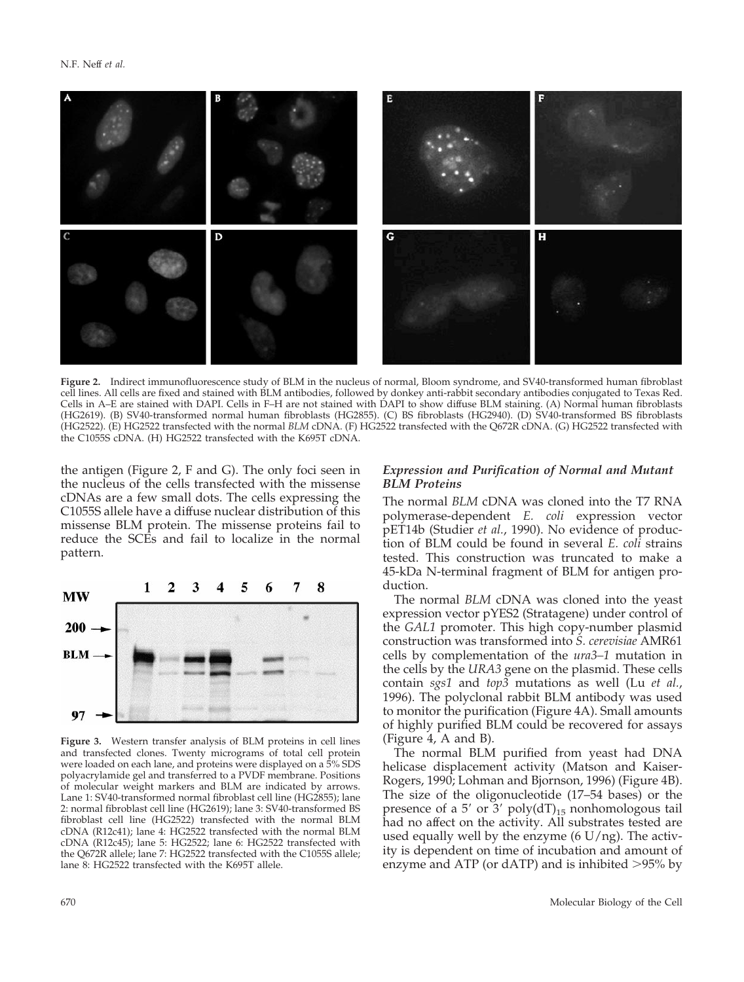

**Figure 2.** Indirect immunofluorescence study of BLM in the nucleus of normal, Bloom syndrome, and SV40-transformed human fibroblast cell lines. All cells are fixed and stained with BLM antibodies, followed by donkey anti-rabbit secondary antibodies conjugated to Texas Red. Cells in A–E are stained with DAPI. Cells in F–H are not stained with DAPI to show diffuse BLM staining. (A) Normal human fibroblasts (HG2619). (B) SV40-transformed normal human fibroblasts (HG2855). (C) BS fibroblasts (HG2940). (D) SV40-transformed BS fibroblasts (HG2522). (E) HG2522 transfected with the normal *BLM* cDNA. (F) HG2522 transfected with the Q672R cDNA. (G) HG2522 transfected with the C1055S cDNA. (H) HG2522 transfected with the K695T cDNA.

the antigen (Figure 2, F and G). The only foci seen in the nucleus of the cells transfected with the missense cDNAs are a few small dots. The cells expressing the C1055S allele have a diffuse nuclear distribution of this missense BLM protein. The missense proteins fail to reduce the SCEs and fail to localize in the normal pattern.



**Figure 3.** Western transfer analysis of BLM proteins in cell lines and transfected clones. Twenty micrograms of total cell protein were loaded on each lane, and proteins were displayed on a 5% SDS polyacrylamide gel and transferred to a PVDF membrane. Positions of molecular weight markers and BLM are indicated by arrows. Lane 1: SV40-transformed normal fibroblast cell line (HG2855); lane 2: normal fibroblast cell line (HG2619); lane 3: SV40-transformed BS fibroblast cell line (HG2522) transfected with the normal BLM cDNA (R12c41); lane 4: HG2522 transfected with the normal BLM cDNA (R12c45); lane 5: HG2522; lane 6: HG2522 transfected with the Q672R allele; lane 7: HG2522 transfected with the C1055S allele; lane 8: HG2522 transfected with the K695T allele.

## *Expression and Purification of Normal and Mutant BLM Proteins*

The normal *BLM* cDNA was cloned into the T7 RNA polymerase-dependent *E. coli* expression vector pET14b (Studier *et al.*, 1990). No evidence of production of BLM could be found in several *E. coli* strains tested. This construction was truncated to make a 45-kDa N-terminal fragment of BLM for antigen production.

The normal *BLM* cDNA was cloned into the yeast expression vector pYES2 (Stratagene) under control of the *GAL1* promoter. This high copy-number plasmid construction was transformed into *S. cerevisiae* AMR61 cells by complementation of the *ura3–1* mutation in the cells by the *URA3* gene on the plasmid. These cells contain *sgs1* and *top3* mutations as well (Lu *et al.*, 1996). The polyclonal rabbit BLM antibody was used to monitor the purification (Figure 4A). Small amounts of highly purified BLM could be recovered for assays (Figure 4, A and B).

The normal BLM purified from yeast had DNA helicase displacement activity (Matson and Kaiser-Rogers, 1990; Lohman and Bjornson, 1996) (Figure 4B). The size of the oligonucleotide (17–54 bases) or the presence of a 5' or 3' poly( $dT$ )<sub>15</sub> nonhomologous tail had no affect on the activity. All substrates tested are used equally well by the enzyme  $(6 U/ng)$ . The activity is dependent on time of incubation and amount of enzyme and ATP (or dATP) and is inhibited  $>95\%$  by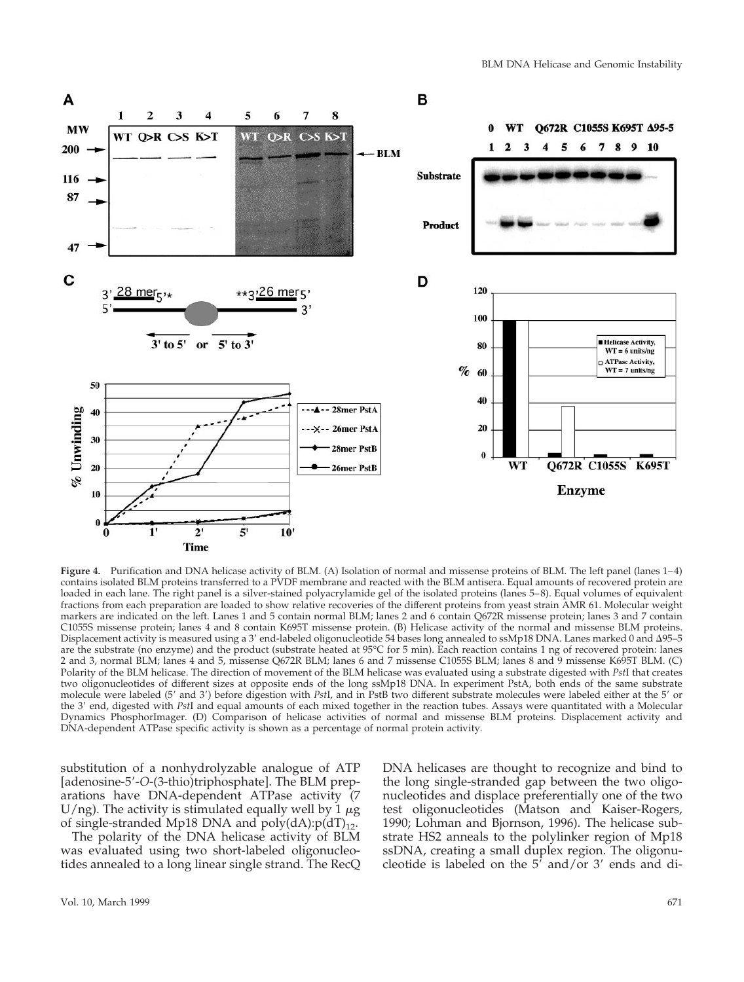

**Figure 4.** Purification and DNA helicase activity of BLM. (A) Isolation of normal and missense proteins of BLM. The left panel (lanes 1–4) contains isolated BLM proteins transferred to a PVDF membrane and reacted with the BLM antisera. Equal amounts of recovered protein are loaded in each lane. The right panel is a silver-stained polyacrylamide gel of the isolated proteins (lanes 5–8). Equal volumes of equivalent fractions from each preparation are loaded to show relative recoveries of the different proteins from yeast strain AMR 61. Molecular weight markers are indicated on the left. Lanes 1 and 5 contain normal BLM; lanes 2 and 6 contain Q672R missense protein; lanes 3 and 7 contain C1055S missense protein; lanes 4 and 8 contain K695T missense protein. (B) Helicase activity of the normal and missense BLM proteins. Displacement activity is measured using a 3' end-labeled oligonucleotide 54 bases long annealed to ssMp18 DNA. Lanes marked 0 and  $\Delta$ 95–5 are the substrate (no enzyme) and the product (substrate heated at 95°C for 5 min). Each reaction contains 1 ng of recovered protein: lanes 2 and 3, normal BLM; lanes 4 and 5, missense Q672R BLM; lanes 6 and 7 missense C1055S BLM; lanes 8 and 9 missense K695T BLM. (C) Polarity of the BLM helicase. The direction of movement of the BLM helicase was evaluated using a substrate digested with *Pst*I that creates two oligonucleotides of different sizes at opposite ends of the long ssMp18 DNA. In experiment PstA, both ends of the same substrate molecule were labeled (5' and 3') before digestion with *PstI*, and in PstB two different substrate molecules were labeled either at the 5' or the 39 end, digested with *Pst*I and equal amounts of each mixed together in the reaction tubes. Assays were quantitated with a Molecular Dynamics PhosphorImager. (D) Comparison of helicase activities of normal and missense BLM proteins. Displacement activity and DNA-dependent ATPase specific activity is shown as a percentage of normal protein activity.

substitution of a nonhydrolyzable analogue of ATP [adenosine-5'-O-(3-thio)triphosphate]. The BLM preparations have DNA-dependent ATPase activity (7 U/ng). The activity is stimulated equally well by  $1 \mu$ g of single-stranded Mp18 DNA and poly(dA): $p(dT)_{12}$ .

The polarity of the DNA helicase activity of BLM was evaluated using two short-labeled oligonucleotides annealed to a long linear single strand. The RecQ DNA helicases are thought to recognize and bind to the long single-stranded gap between the two oligonucleotides and displace preferentially one of the two test oligonucleotides (Matson and Kaiser-Rogers, 1990; Lohman and Bjornson, 1996). The helicase substrate HS2 anneals to the polylinker region of Mp18 ssDNA, creating a small duplex region. The oligonucleotide is labeled on the  $5^7$  and/or 3' ends and di-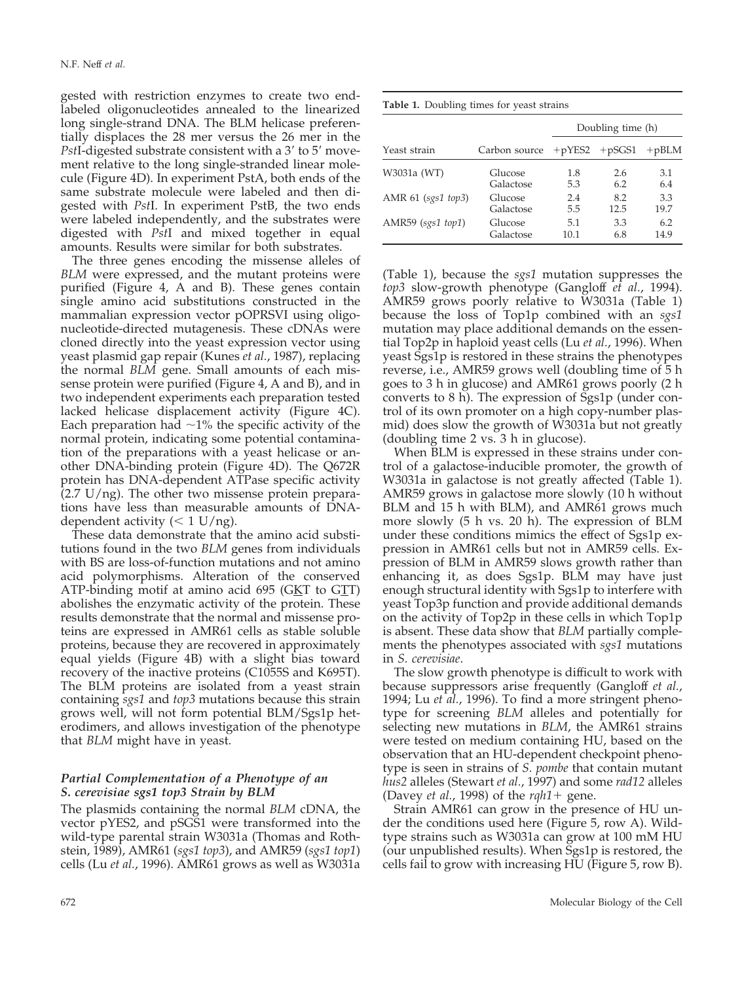gested with restriction enzymes to create two endlabeled oligonucleotides annealed to the linearized long single-strand DNA. The BLM helicase preferentially displaces the 28 mer versus the 26 mer in the *PstI*-digested substrate consistent with a 3' to 5' movement relative to the long single-stranded linear molecule (Figure 4D). In experiment PstA, both ends of the same substrate molecule were labeled and then digested with *Pst*I. In experiment PstB, the two ends were labeled independently, and the substrates were digested with *Pst*I and mixed together in equal amounts. Results were similar for both substrates.

The three genes encoding the missense alleles of *BLM* were expressed, and the mutant proteins were purified (Figure 4, A and B). These genes contain single amino acid substitutions constructed in the mammalian expression vector pOPRSVI using oligonucleotide-directed mutagenesis. These cDNAs were cloned directly into the yeast expression vector using yeast plasmid gap repair (Kunes *et al.*, 1987), replacing the normal *BLM* gene. Small amounts of each missense protein were purified (Figure 4, A and B), and in two independent experiments each preparation tested lacked helicase displacement activity (Figure 4C). Each preparation had  $\sim$ 1% the specific activity of the normal protein, indicating some potential contamination of the preparations with a yeast helicase or another DNA-binding protein (Figure 4D). The Q672R protein has DNA-dependent ATPase specific activity  $(2.7 \text{ U}/\text{ng})$ . The other two missense protein preparations have less than measurable amounts of DNAdependent activity  $(< 1 \text{ U}/\text{ng}).$ 

These data demonstrate that the amino acid substitutions found in the two *BLM* genes from individuals with BS are loss-of-function mutations and not amino acid polymorphisms. Alteration of the conserved ATP-binding motif at amino acid 695 (GKT to GTT) abolishes the enzymatic activity of the protein. These results demonstrate that the normal and missense proteins are expressed in AMR61 cells as stable soluble proteins, because they are recovered in approximately equal yields (Figure 4B) with a slight bias toward recovery of the inactive proteins (C1055S and K695T). The BLM proteins are isolated from a yeast strain containing *sgs1* and *top3* mutations because this strain grows well, will not form potential BLM/Sgs1p heterodimers, and allows investigation of the phenotype that *BLM* might have in yeast.

## *Partial Complementation of a Phenotype of an S. cerevisiae sgs1 top3 Strain by BLM*

The plasmids containing the normal *BLM* cDNA, the vector pYES2, and pSGS1 were transformed into the wild-type parental strain W3031a (Thomas and Rothstein, 1989), AMR61 (*sgs1 top3*), and AMR59 (*sgs1 top1*) cells (Lu *et al.*, 1996). AMR61 grows as well as W3031a

**Table 1.** Doubling times for yeast strains

|                      |               | Doubling time (h) |          |          |
|----------------------|---------------|-------------------|----------|----------|
| Yeast strain         | Carbon source | $+pYES2$          | $+pSGS1$ | $+$ pBLM |
| W3031a (WT)          | Glucose       | 1.8               | 2.6      | 3.1      |
|                      | Galactose     | 5.3               | 6.2      | 6.4      |
| AMR $61$ (sgs1 top3) | Glucose       | 2.4               | 8.2      | 3.3      |
|                      | Galactose     | 5.5               | 12.5     | 19.7     |
| $AMR59$ (sgs1 top1)  | Glucose       | 5.1               | 3.3      | 6.2      |
|                      | Galactose     | 10.1              | 6.8      | 14.9     |

(Table 1), because the *sgs1* mutation suppresses the *top3* slow-growth phenotype (Gangloff *et al.*, 1994). AMR59 grows poorly relative to W3031a (Table 1) because the loss of Top1p combined with an *sgs1* mutation may place additional demands on the essential Top2p in haploid yeast cells (Lu *et al.*, 1996). When yeast Sgs1p is restored in these strains the phenotypes reverse, i.e., AMR59 grows well (doubling time of 5 h goes to 3 h in glucose) and AMR61 grows poorly (2 h converts to 8 h). The expression of Sgs1p (under control of its own promoter on a high copy-number plasmid) does slow the growth of W3031a but not greatly (doubling time 2 vs. 3 h in glucose).

When BLM is expressed in these strains under control of a galactose-inducible promoter, the growth of W3031a in galactose is not greatly affected (Table 1). AMR59 grows in galactose more slowly (10 h without BLM and 15 h with BLM), and AMR61 grows much more slowly (5 h vs. 20 h). The expression of BLM under these conditions mimics the effect of Sgs1p expression in AMR61 cells but not in AMR59 cells. Expression of BLM in AMR59 slows growth rather than enhancing it, as does Sgs1p. BLM may have just enough structural identity with Sgs1p to interfere with yeast Top3p function and provide additional demands on the activity of Top2p in these cells in which Top1p is absent. These data show that *BLM* partially complements the phenotypes associated with *sgs1* mutations in *S. cerevisiae*.

The slow growth phenotype is difficult to work with because suppressors arise frequently (Gangloff *et al.*, 1994; Lu *et al.*, 1996). To find a more stringent phenotype for screening *BLM* alleles and potentially for selecting new mutations in *BLM*, the AMR61 strains were tested on medium containing HU, based on the observation that an HU-dependent checkpoint phenotype is seen in strains of *S. pombe* that contain mutant *hus2* alleles (Stewart *et al.*, 1997) and some *rad12* alleles (Davey *et al.*, 1998) of the *rqh1* + gene.

Strain AMR61 can grow in the presence of HU under the conditions used here (Figure 5, row A). Wildtype strains such as W3031a can grow at 100 mM HU (our unpublished results). When Sgs1p is restored, the cells fail to grow with increasing HU (Figure 5, row B).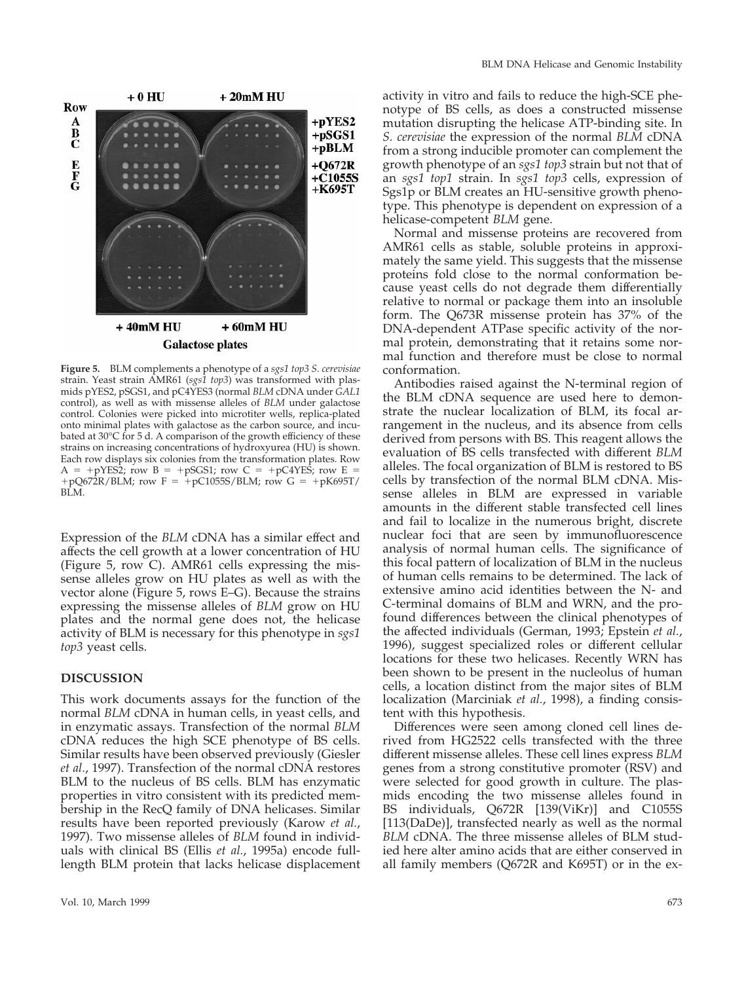

**Figure 5.** BLM complements a phenotype of a *sgs1 top3 S. cerevisiae* strain. Yeast strain AMR61 (*sgs1 top3*) was transformed with plasmids pYES2, pSGS1, and pC4YES3 (normal *BLM* cDNA under *GAL1* control), as well as with missense alleles of *BLM* under galactose control. Colonies were picked into microtiter wells, replica-plated onto minimal plates with galactose as the carbon source, and incubated at 30°C for 5 d. A comparison of the growth efficiency of these strains on increasing concentrations of hydroxyurea (HU) is shown. Each row displays six colonies from the transformation plates. Row A = +pYES2; row B = +pSGS1; row C = +pC4YES; row E = +pQ672R/BLM; row F = +pC1055S/BLM; row G = +pK695T/ BLM.

Expression of the *BLM* cDNA has a similar effect and affects the cell growth at a lower concentration of HU (Figure 5, row C). AMR61 cells expressing the missense alleles grow on HU plates as well as with the vector alone (Figure 5, rows E–G). Because the strains expressing the missense alleles of *BLM* grow on HU plates and the normal gene does not, the helicase activity of BLM is necessary for this phenotype in *sgs1 top3* yeast cells.

### **DISCUSSION**

This work documents assays for the function of the normal *BLM* cDNA in human cells, in yeast cells, and in enzymatic assays. Transfection of the normal *BLM* cDNA reduces the high SCE phenotype of BS cells. Similar results have been observed previously (Giesler *et al.*, 1997). Transfection of the normal cDNA restores BLM to the nucleus of BS cells. BLM has enzymatic properties in vitro consistent with its predicted membership in the RecQ family of DNA helicases. Similar results have been reported previously (Karow *et al.*, 1997). Two missense alleles of *BLM* found in individuals with clinical BS (Ellis *et al.*, 1995a) encode fulllength BLM protein that lacks helicase displacement activity in vitro and fails to reduce the high-SCE phenotype of BS cells, as does a constructed missense mutation disrupting the helicase ATP-binding site. In *S. cerevisiae* the expression of the normal *BLM* cDNA from a strong inducible promoter can complement the growth phenotype of an *sgs1 top3* strain but not that of an *sgs1 top1* strain. In *sgs1 top3* cells, expression of Sgs1p or BLM creates an HU-sensitive growth phenotype. This phenotype is dependent on expression of a helicase-competent *BLM* gene.

Normal and missense proteins are recovered from AMR61 cells as stable, soluble proteins in approximately the same yield. This suggests that the missense proteins fold close to the normal conformation because yeast cells do not degrade them differentially relative to normal or package them into an insoluble form. The Q673R missense protein has 37% of the DNA-dependent ATPase specific activity of the normal protein, demonstrating that it retains some normal function and therefore must be close to normal conformation.

Antibodies raised against the N-terminal region of the BLM cDNA sequence are used here to demonstrate the nuclear localization of BLM, its focal arrangement in the nucleus, and its absence from cells derived from persons with BS. This reagent allows the evaluation of BS cells transfected with different *BLM* alleles. The focal organization of BLM is restored to BS cells by transfection of the normal BLM cDNA. Missense alleles in BLM are expressed in variable amounts in the different stable transfected cell lines and fail to localize in the numerous bright, discrete nuclear foci that are seen by immunofluorescence analysis of normal human cells. The significance of this focal pattern of localization of BLM in the nucleus of human cells remains to be determined. The lack of extensive amino acid identities between the N- and C-terminal domains of BLM and WRN, and the profound differences between the clinical phenotypes of the affected individuals (German, 1993; Epstein *et al.*, 1996), suggest specialized roles or different cellular locations for these two helicases. Recently WRN has been shown to be present in the nucleolus of human cells, a location distinct from the major sites of BLM localization (Marciniak *et al.*, 1998), a finding consistent with this hypothesis.

Differences were seen among cloned cell lines derived from HG2522 cells transfected with the three different missense alleles. These cell lines express *BLM* genes from a strong constitutive promoter (RSV) and were selected for good growth in culture. The plasmids encoding the two missense alleles found in BS individuals, Q672R [139(ViKr)] and C1055S [113(DaDe)], transfected nearly as well as the normal *BLM* cDNA. The three missense alleles of BLM studied here alter amino acids that are either conserved in all family members (Q672R and K695T) or in the ex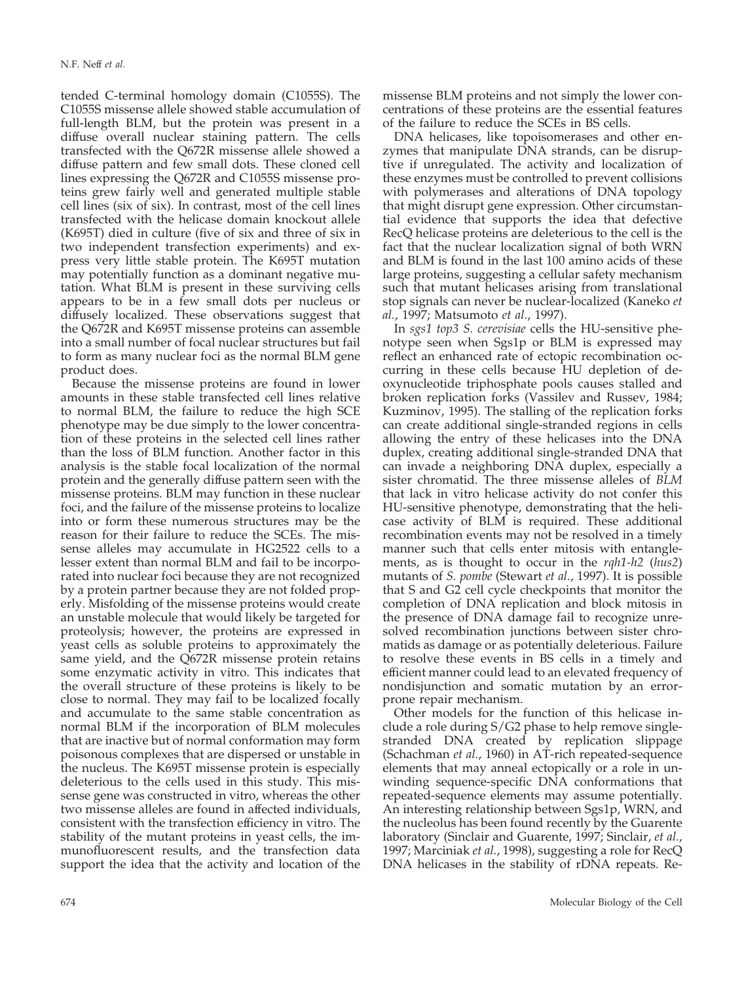tended C-terminal homology domain (C1055S). The C1055S missense allele showed stable accumulation of full-length BLM, but the protein was present in a diffuse overall nuclear staining pattern. The cells transfected with the Q672R missense allele showed a diffuse pattern and few small dots. These cloned cell lines expressing the Q672R and C1055S missense proteins grew fairly well and generated multiple stable cell lines (six of six). In contrast, most of the cell lines transfected with the helicase domain knockout allele (K695T) died in culture (five of six and three of six in two independent transfection experiments) and express very little stable protein. The K695T mutation may potentially function as a dominant negative mutation. What BLM is present in these surviving cells appears to be in a few small dots per nucleus or diffusely localized. These observations suggest that the Q672R and K695T missense proteins can assemble into a small number of focal nuclear structures but fail to form as many nuclear foci as the normal BLM gene product does.

Because the missense proteins are found in lower amounts in these stable transfected cell lines relative to normal BLM, the failure to reduce the high SCE phenotype may be due simply to the lower concentration of these proteins in the selected cell lines rather than the loss of BLM function. Another factor in this analysis is the stable focal localization of the normal protein and the generally diffuse pattern seen with the missense proteins. BLM may function in these nuclear foci, and the failure of the missense proteins to localize into or form these numerous structures may be the reason for their failure to reduce the SCEs. The missense alleles may accumulate in HG2522 cells to a lesser extent than normal BLM and fail to be incorporated into nuclear foci because they are not recognized by a protein partner because they are not folded properly. Misfolding of the missense proteins would create an unstable molecule that would likely be targeted for proteolysis; however, the proteins are expressed in yeast cells as soluble proteins to approximately the same yield, and the Q672R missense protein retains some enzymatic activity in vitro. This indicates that the overall structure of these proteins is likely to be close to normal. They may fail to be localized focally and accumulate to the same stable concentration as normal BLM if the incorporation of BLM molecules that are inactive but of normal conformation may form poisonous complexes that are dispersed or unstable in the nucleus. The K695T missense protein is especially deleterious to the cells used in this study. This missense gene was constructed in vitro, whereas the other two missense alleles are found in affected individuals, consistent with the transfection efficiency in vitro. The stability of the mutant proteins in yeast cells, the immunofluorescent results, and the transfection data support the idea that the activity and location of the

missense BLM proteins and not simply the lower concentrations of these proteins are the essential features of the failure to reduce the SCEs in BS cells.

DNA helicases, like topoisomerases and other enzymes that manipulate DNA strands, can be disruptive if unregulated. The activity and localization of these enzymes must be controlled to prevent collisions with polymerases and alterations of DNA topology that might disrupt gene expression. Other circumstantial evidence that supports the idea that defective RecQ helicase proteins are deleterious to the cell is the fact that the nuclear localization signal of both WRN and BLM is found in the last 100 amino acids of these large proteins, suggesting a cellular safety mechanism such that mutant helicases arising from translational stop signals can never be nuclear-localized (Kaneko *et al.*, 1997; Matsumoto *et al.*, 1997).

In *sgs1 top3 S. cerevisiae* cells the HU-sensitive phenotype seen when Sgs1p or BLM is expressed may reflect an enhanced rate of ectopic recombination occurring in these cells because HU depletion of deoxynucleotide triphosphate pools causes stalled and broken replication forks (Vassilev and Russev, 1984; Kuzminov, 1995). The stalling of the replication forks can create additional single-stranded regions in cells allowing the entry of these helicases into the DNA duplex, creating additional single-stranded DNA that can invade a neighboring DNA duplex, especially a sister chromatid. The three missense alleles of *BLM* that lack in vitro helicase activity do not confer this HU-sensitive phenotype, demonstrating that the helicase activity of BLM is required. These additional recombination events may not be resolved in a timely manner such that cells enter mitosis with entanglements, as is thought to occur in the *rqh1-h2* (*hus2*) mutants of *S. pombe* (Stewart *et al.*, 1997). It is possible that S and G2 cell cycle checkpoints that monitor the completion of DNA replication and block mitosis in the presence of DNA damage fail to recognize unresolved recombination junctions between sister chromatids as damage or as potentially deleterious. Failure to resolve these events in BS cells in a timely and efficient manner could lead to an elevated frequency of nondisjunction and somatic mutation by an errorprone repair mechanism.

Other models for the function of this helicase include a role during S/G2 phase to help remove singlestranded DNA created by replication slippage (Schachman *et al.*, 1960) in AT-rich repeated-sequence elements that may anneal ectopically or a role in unwinding sequence-specific DNA conformations that repeated-sequence elements may assume potentially. An interesting relationship between Sgs1p, WRN, and the nucleolus has been found recently by the Guarente laboratory (Sinclair and Guarente, 1997; Sinclair, *et al.*, 1997; Marciniak *et al.*, 1998), suggesting a role for RecQ DNA helicases in the stability of rDNA repeats. Re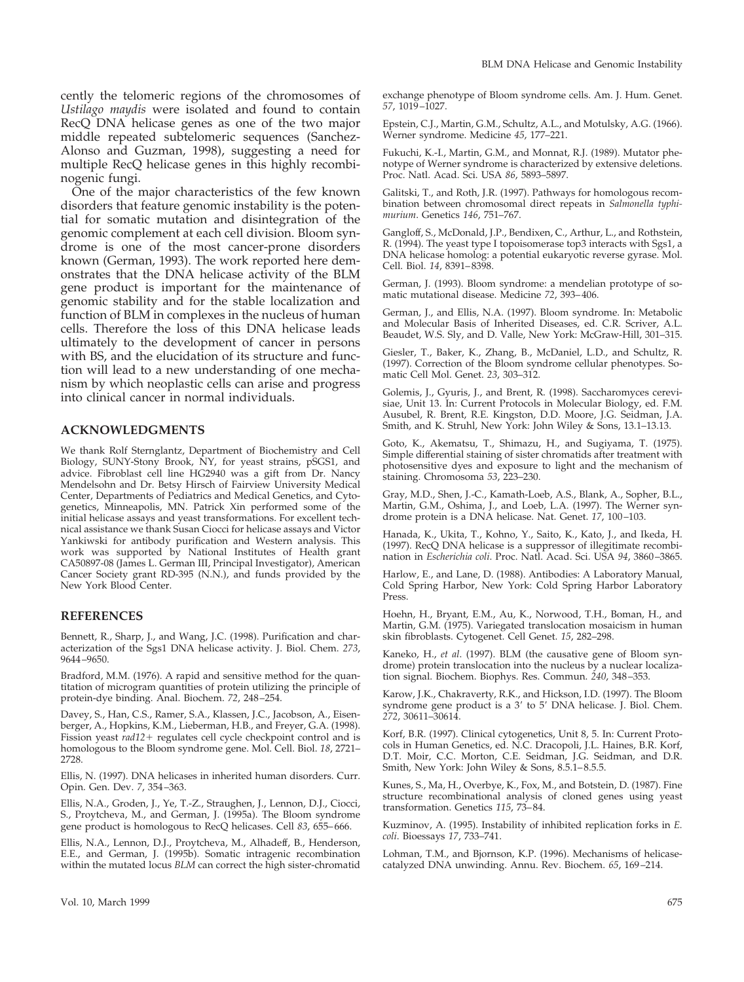cently the telomeric regions of the chromosomes of *Ustilago maydis* were isolated and found to contain RecQ DNA helicase genes as one of the two major middle repeated subtelomeric sequences (Sanchez-Alonso and Guzman, 1998), suggesting a need for multiple RecQ helicase genes in this highly recombinogenic fungi.

One of the major characteristics of the few known disorders that feature genomic instability is the potential for somatic mutation and disintegration of the genomic complement at each cell division. Bloom syndrome is one of the most cancer-prone disorders known (German, 1993). The work reported here demonstrates that the DNA helicase activity of the BLM gene product is important for the maintenance of genomic stability and for the stable localization and function of BLM in complexes in the nucleus of human cells. Therefore the loss of this DNA helicase leads ultimately to the development of cancer in persons with BS, and the elucidation of its structure and function will lead to a new understanding of one mechanism by which neoplastic cells can arise and progress into clinical cancer in normal individuals.

#### **ACKNOWLEDGMENTS**

We thank Rolf Sternglantz, Department of Biochemistry and Cell Biology, SUNY-Stony Brook, NY, for yeast strains, pSGS1, and advice. Fibroblast cell line HG2940 was a gift from Dr. Nancy Mendelsohn and Dr. Betsy Hirsch of Fairview University Medical Center, Departments of Pediatrics and Medical Genetics, and Cytogenetics, Minneapolis, MN. Patrick Xin performed some of the initial helicase assays and yeast transformations. For excellent technical assistance we thank Susan Ciocci for helicase assays and Victor Yankiwski for antibody purification and Western analysis. This work was supported by National Institutes of Health grant CA50897-08 (James L. German III, Principal Investigator), American Cancer Society grant RD-395 (N.N.), and funds provided by the New York Blood Center.

#### **REFERENCES**

Bennett, R., Sharp, J., and Wang, J.C. (1998). Purification and characterization of the Sgs1 DNA helicase activity. J. Biol. Chem. *273*, 9644–9650.

Bradford, M.M. (1976). A rapid and sensitive method for the quantitation of microgram quantities of protein utilizing the principle of protein-dye binding. Anal. Biochem. *72*, 248–254.

Davey, S., Han, C.S., Ramer, S.A., Klassen, J.C., Jacobson, A., Eisenberger, A., Hopkins, K.M., Lieberman, H.B., and Freyer, G.A. (1998). Fission yeast rad12+ regulates cell cycle checkpoint control and is homologous to the Bloom syndrome gene. Mol. Cell. Biol. *18*, 2721– 2728.

Ellis, N. (1997). DNA helicases in inherited human disorders. Curr. Opin. Gen. Dev. *7*, 354–363.

Ellis, N.A., Groden, J., Ye, T.-Z., Straughen, J., Lennon, D.J., Ciocci, S., Proytcheva, M., and German, J. (1995a). The Bloom syndrome gene product is homologous to RecQ helicases. Cell *83*, 655–666.

Ellis, N.A., Lennon, D.J., Proytcheva, M., Alhadeff, B., Henderson, E.E., and German, J. (1995b). Somatic intragenic recombination within the mutated locus *BLM* can correct the high sister-chromatid exchange phenotype of Bloom syndrome cells. Am. J. Hum. Genet. *57*, 1019–1027.

Epstein, C.J., Martin, G.M., Schultz, A.L., and Motulsky, A.G. (1966). Werner syndrome. Medicine *45*, 177–221.

Fukuchi, K.-I., Martin, G.M., and Monnat, R.J. (1989). Mutator phenotype of Werner syndrome is characterized by extensive deletions. Proc. Natl. Acad. Sci. USA *86*, 5893–5897.

Galitski, T., and Roth, J.R. (1997). Pathways for homologous recombination between chromosomal direct repeats in *Salmonella typhimurium*. Genetics *146*, 751–767.

Gangloff, S., McDonald, J.P., Bendixen, C., Arthur, L., and Rothstein, R. (1994). The yeast type I topoisomerase top3 interacts with Sgs1, a DNA helicase homolog: a potential eukaryotic reverse gyrase. Mol. Cell. Biol. *14*, 8391–8398.

German, J. (1993). Bloom syndrome: a mendelian prototype of somatic mutational disease. Medicine *72*, 393–406.

German, J., and Ellis, N.A. (1997). Bloom syndrome. In: Metabolic and Molecular Basis of Inherited Diseases, ed. C.R. Scriver, A.L. Beaudet, W.S. Sly, and D. Valle, New York: McGraw-Hill, 301–315.

Giesler, T., Baker, K., Zhang, B., McDaniel, L.D., and Schultz, R. (1997). Correction of the Bloom syndrome cellular phenotypes. Somatic Cell Mol. Genet. *23*, 303–312.

Golemis, J., Gyuris, J., and Brent, R. (1998). Saccharomyces cerevisiae, Unit 13. In: Current Protocols in Molecular Biology, ed. F.M. Ausubel, R. Brent, R.E. Kingston, D.D. Moore, J.G. Seidman, J.A. Smith, and K. Struhl, New York: John Wiley & Sons, 13.1–13.13.

Goto, K., Akematsu, T., Shimazu, H., and Sugiyama, T. (1975). Simple differential staining of sister chromatids after treatment with photosensitive dyes and exposure to light and the mechanism of staining. Chromosoma *53*, 223–230.

Gray, M.D., Shen, J.-C., Kamath-Loeb, A.S., Blank, A., Sopher, B.L., Martin, G.M., Oshima, J., and Loeb, L.A. (1997). The Werner syndrome protein is a DNA helicase. Nat. Genet. *17*, 100–103.

Hanada, K., Ukita, T., Kohno, Y., Saito, K., Kato, J., and Ikeda, H. (1997). RecQ DNA helicase is a suppressor of illegitimate recombination in *Escherichia coli*. Proc. Natl. Acad. Sci. USA *94*, 3860–3865.

Harlow, E., and Lane, D. (1988). Antibodies: A Laboratory Manual, Cold Spring Harbor, New York: Cold Spring Harbor Laboratory Press.

Hoehn, H., Bryant, E.M., Au, K., Norwood, T.H., Boman, H., and Martin, G.M. (1975). Variegated translocation mosaicism in human skin fibroblasts. Cytogenet. Cell Genet. *15*, 282–298.

Kaneko, H., *et al*. (1997). BLM (the causative gene of Bloom syndrome) protein translocation into the nucleus by a nuclear localization signal. Biochem. Biophys. Res. Commun. *240*, 348–353.

Karow, J.K., Chakraverty, R.K., and Hickson, I.D. (1997). The Bloom syndrome gene product is a 3' to 5' DNA helicase. J. Biol. Chem. *272*, 30611–30614.

Korf, B.R. (1997). Clinical cytogenetics, Unit 8, 5. In: Current Protocols in Human Genetics, ed. N.C. Dracopoli, J.L. Haines, B.R. Korf, D.T. Moir, C.C. Morton, C.E. Seidman, J.G. Seidman, and D.R. Smith, New York: John Wiley & Sons, 8.5.1–8.5.5.

Kunes, S., Ma, H., Overbye, K., Fox, M., and Botstein, D. (1987). Fine structure recombinational analysis of cloned genes using yeast transformation. Genetics *115*, 73–84.

Kuzminov, A. (1995). Instability of inhibited replication forks in *E. coli*. Bioessays *17*, 733–741.

Lohman, T.M., and Bjornson, K.P. (1996). Mechanisms of helicasecatalyzed DNA unwinding. Annu. Rev. Biochem. *65*, 169–214.